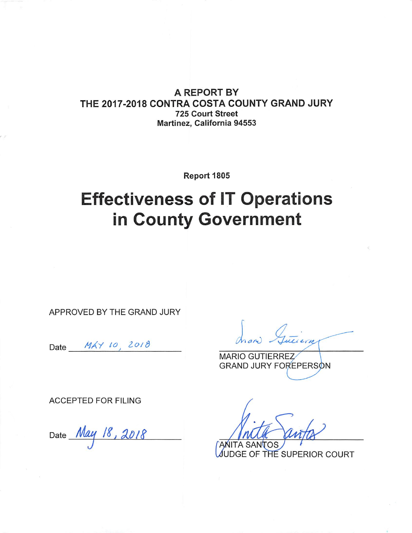### **A REPORT BY** THE 2017-2018 CONTRA COSTA COUNTY GRAND JURY **725 Court Street** Martinez, California 94553

Report 1805

# **Effectiveness of IT Operations** in County Government

APPROVED BY THE GRAND JURY

Date MAY 10, 2018

**MARIO GUTIERREZ GRAND JURY FOREPERSON** 

**ACCEPTED FOR FILING** 

Date <u>May</u> 18, 2018

**ANITA SANTOS** JUDGE OF THE SUPERIOR COURT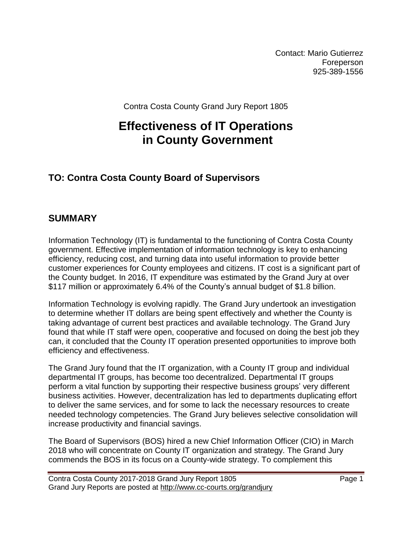Contact: Mario Gutierrez Foreperson 925-389-1556

Contra Costa County Grand Jury Report 1805

# **Effectiveness of IT Operations in County Government**

### **TO: Contra Costa County Board of Supervisors**

### **SUMMARY**

Information Technology (IT) is fundamental to the functioning of Contra Costa County government. Effective implementation of information technology is key to enhancing efficiency, reducing cost, and turning data into useful information to provide better customer experiences for County employees and citizens. IT cost is a significant part of the County budget. In 2016, IT expenditure was estimated by the Grand Jury at over \$117 million or approximately 6.4% of the County's annual budget of \$1.8 billion.

Information Technology is evolving rapidly. The Grand Jury undertook an investigation to determine whether IT dollars are being spent effectively and whether the County is taking advantage of current best practices and available technology. The Grand Jury found that while IT staff were open, cooperative and focused on doing the best job they can, it concluded that the County IT operation presented opportunities to improve both efficiency and effectiveness.

The Grand Jury found that the IT organization, with a County IT group and individual departmental IT groups, has become too decentralized. Departmental IT groups perform a vital function by supporting their respective business groups' very different business activities. However, decentralization has led to departments duplicating effort to deliver the same services, and for some to lack the necessary resources to create needed technology competencies. The Grand Jury believes selective consolidation will increase productivity and financial savings.

The Board of Supervisors (BOS) hired a new Chief Information Officer (CIO) in March 2018 who will concentrate on County IT organization and strategy. The Grand Jury commends the BOS in its focus on a County-wide strategy. To complement this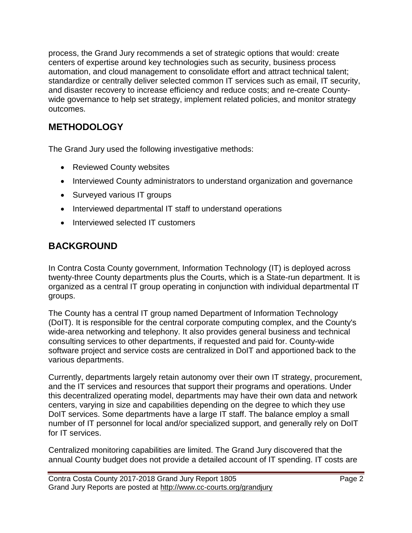process, the Grand Jury recommends a set of strategic options that would: create centers of expertise around key technologies such as security, business process automation, and cloud management to consolidate effort and attract technical talent; standardize or centrally deliver selected common IT services such as email, IT security, and disaster recovery to increase efficiency and reduce costs; and re-create Countywide governance to help set strategy, implement related policies, and monitor strategy outcomes.

# **METHODOLOGY**

The Grand Jury used the following investigative methods:

- Reviewed County websites
- Interviewed County administrators to understand organization and governance
- Surveyed various IT groups
- Interviewed departmental IT staff to understand operations
- Interviewed selected IT customers

### **BACKGROUND**

In Contra Costa County government, Information Technology (IT) is deployed across twenty-three County departments plus the Courts, which is a State-run department. It is organized as a central IT group operating in conjunction with individual departmental IT groups.

The County has a central IT group named Department of Information Technology (DoIT). It is responsible for the central corporate computing complex, and the County's wide-area networking and telephony. It also provides general business and technical consulting services to other departments, if requested and paid for. County-wide software project and service costs are centralized in DoIT and apportioned back to the various departments.

Currently, departments largely retain autonomy over their own IT strategy, procurement, and the IT services and resources that support their programs and operations. Under this decentralized operating model, departments may have their own data and network centers, varying in size and capabilities depending on the degree to which they use DoIT services. Some departments have a large IT staff. The balance employ a small number of IT personnel for local and/or specialized support, and generally rely on DoIT for IT services.

Centralized monitoring capabilities are limited. The Grand Jury discovered that the annual County budget does not provide a detailed account of IT spending. IT costs are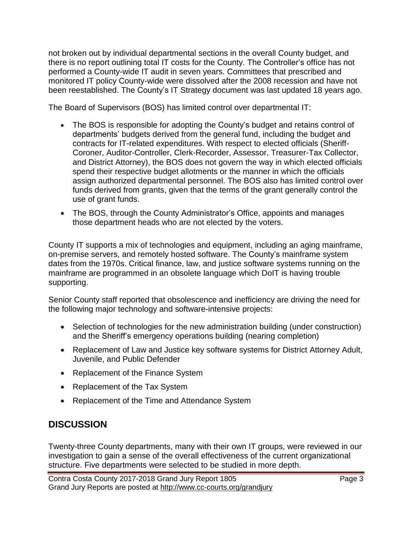not broken out by individual departmental sections in the overall County budget, and there is no report outlining total IT costs for the County. The Controller's office has not performed a County-wide IT audit in seven years. Committees that prescribed and monitored IT policy County-wide were dissolved after the 2008 recession and have not been reestablished. The County's IT Strategy document was last updated 18 years ago.

The Board of Supervisors (BOS) has limited control over departmental IT:

- The BOS is responsible for adopting the County's budget and retains control of departments' budgets derived from the general fund, including the budget and contracts for IT-related expenditures. With respect to elected officials (Sheriff-Coroner, Auditor-Controller, Clerk-Recorder, Assessor, Treasurer-Tax Collector, and District Attorney), the BOS does not govern the way in which elected officials spend their respective budget allotments or the manner in which the officials assign authorized departmental personnel. The BOS also has limited control over funds derived from grants, given that the terms of the grant generally control the use of grant funds.
- The BOS, through the County Administrator's Office, appoints and manages those department heads who are not elected by the voters.

County IT supports a mix of technologies and equipment, including an aging mainframe, on-premise servers, and remotely hosted software. The County's mainframe system dates from the 1970s. Critical finance, law, and justice software systems running on the mainframe are programmed in an obsolete language which DoIT is having trouble supporting.

Senior County staff reported that obsolescence and inefficiency are driving the need for the following major technology and software-intensive projects:

- Selection of technologies for the new administration building (under construction) and the Sheriff's emergency operations building (nearing completion)
- Replacement of Law and Justice key software systems for District Attorney Adult, Juvenile, and Public Defender
- Replacement of the Finance System
- Replacement of the Tax System
- Replacement of the Time and Attendance System

# **DISCUSSION**

Twenty-three County departments, many with their own IT groups, were reviewed in our investigation to gain a sense of the overall effectiveness of the current organizational structure. Five departments were selected to be studied in more depth.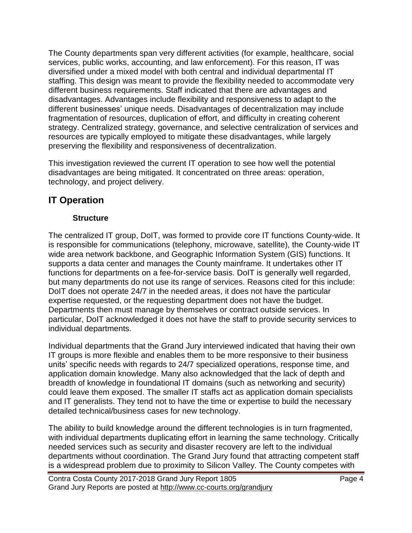The County departments span very different activities (for example, healthcare, social services, public works, accounting, and law enforcement). For this reason, IT was diversified under a mixed model with both central and individual departmental IT staffing. This design was meant to provide the flexibility needed to accommodate very different business requirements. Staff indicated that there are advantages and disadvantages. Advantages include flexibility and responsiveness to adapt to the different businesses' unique needs. Disadvantages of decentralization may include fragmentation of resources, duplication of effort, and difficulty in creating coherent strategy. Centralized strategy, governance, and selective centralization of services and resources are typically employed to mitigate these disadvantages, while largely preserving the flexibility and responsiveness of decentralization.

This investigation reviewed the current IT operation to see how well the potential disadvantages are being mitigated. It concentrated on three areas: operation, technology, and project delivery.

### **IT Operation**

#### **Structure**

The centralized IT group, DoIT, was formed to provide core IT functions County-wide. It is responsible for communications (telephony, microwave, satellite), the County-wide IT wide area network backbone, and Geographic Information System (GIS) functions. It supports a data center and manages the County mainframe. It undertakes other IT functions for departments on a fee-for-service basis. DoIT is generally well regarded, but many departments do not use its range of services. Reasons cited for this include: DoIT does not operate 24/7 in the needed areas, it does not have the particular expertise requested, or the requesting department does not have the budget. Departments then must manage by themselves or contract outside services. In particular, DoIT acknowledged it does not have the staff to provide security services to individual departments.

Individual departments that the Grand Jury interviewed indicated that having their own IT groups is more flexible and enables them to be more responsive to their business units' specific needs with regards to 24/7 specialized operations, response time, and application domain knowledge. Many also acknowledged that the lack of depth and breadth of knowledge in foundational IT domains (such as networking and security) could leave them exposed. The smaller IT staffs act as application domain specialists and IT generalists. They tend not to have the time or expertise to build the necessary detailed technical/business cases for new technology.

The ability to build knowledge around the different technologies is in turn fragmented, with individual departments duplicating effort in learning the same technology. Critically needed services such as security and disaster recovery are left to the individual departments without coordination. The Grand Jury found that attracting competent staff is a widespread problem due to proximity to Silicon Valley. The County competes with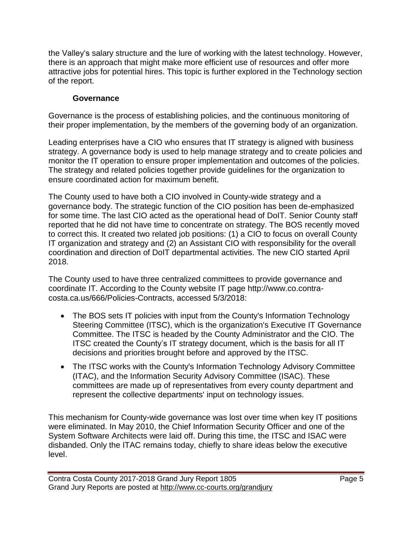the Valley's salary structure and the lure of working with the latest technology. However, there is an approach that might make more efficient use of resources and offer more attractive jobs for potential hires. This topic is further explored in the Technology section of the report.

### **Governance**

Governance is the process of establishing policies, and the continuous monitoring of their proper implementation, by the members of the governing body of an organization.

Leading enterprises have a CIO who ensures that IT strategy is aligned with business strategy. A governance body is used to help manage strategy and to create policies and monitor the IT operation to ensure proper implementation and outcomes of the policies. The strategy and related policies together provide guidelines for the organization to ensure coordinated action for maximum benefit.

The County used to have both a CIO involved in County-wide strategy and a governance body. The strategic function of the CIO position has been de-emphasized for some time. The last CIO acted as the operational head of DoIT. Senior County staff reported that he did not have time to concentrate on strategy. The BOS recently moved to correct this. It created two related job positions: (1) a CIO to focus on overall County IT organization and strategy and (2) an Assistant CIO with responsibility for the overall coordination and direction of DoIT departmental activities. The new CIO started April 2018.

The County used to have three centralized committees to provide governance and coordinate IT. According to the County website IT page http://www.co.contracosta.ca.us/666/Policies-Contracts, accessed 5/3/2018:

- The BOS sets IT policies with input from the County's Information Technology Steering Committee (ITSC), which is the organization's Executive IT Governance Committee. The ITSC is headed by the County Administrator and the CIO. The ITSC created the County's IT strategy document, which is the basis for all IT decisions and priorities brought before and approved by the ITSC.
- The ITSC works with the County's Information Technology Advisory Committee (ITAC), and the Information Security Advisory Committee (ISAC). These committees are made up of representatives from every county department and represent the collective departments' input on technology issues.

This mechanism for County-wide governance was lost over time when key IT positions were eliminated. In May 2010, the Chief Information Security Officer and one of the System Software Architects were laid off. During this time, the ITSC and ISAC were disbanded. Only the ITAC remains today, chiefly to share ideas below the executive level.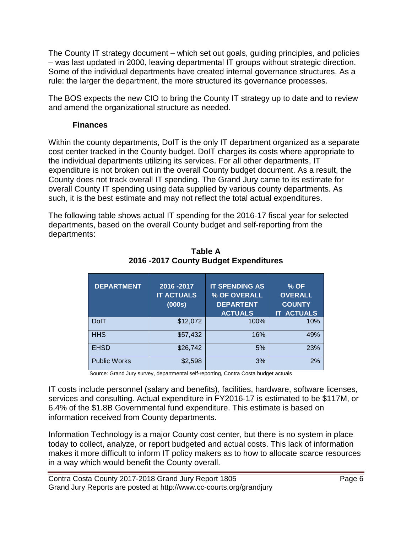The County IT strategy document – which set out goals, guiding principles, and policies – was last updated in 2000, leaving departmental IT groups without strategic direction. Some of the individual departments have created internal governance structures. As a rule: the larger the department, the more structured its governance processes.

The BOS expects the new CIO to bring the County IT strategy up to date and to review and amend the organizational structure as needed.

#### **Finances**

Within the county departments, DoIT is the only IT department organized as a separate cost center tracked in the County budget. DoIT charges its costs where appropriate to the individual departments utilizing its services. For all other departments, IT expenditure is not broken out in the overall County budget document. As a result, the County does not track overall IT spending. The Grand Jury came to its estimate for overall County IT spending using data supplied by various county departments. As such, it is the best estimate and may not reflect the total actual expenditures.

The following table shows actual IT spending for the 2016-17 fiscal year for selected departments, based on the overall County budget and self-reporting from the departments:

| <b>DEPARTMENT</b>   | 2016 - 2017<br><b>IT ACTUALS</b><br>(000s) | <b>IT SPENDING AS</b><br>% OF OVERALL<br><b>DEPARTENT</b><br><b>ACTUALS</b> | $%$ OF<br><b>OVERALL</b><br><b>COUNTY</b><br><b>IT ACTUALS</b> |
|---------------------|--------------------------------------------|-----------------------------------------------------------------------------|----------------------------------------------------------------|
| <b>DolT</b>         | \$12,072                                   | 100%                                                                        | 10%                                                            |
| <b>HHS</b>          | \$57,432                                   | 16%                                                                         | 49%                                                            |
| <b>EHSD</b>         | \$26,742                                   | 5%                                                                          | 23%                                                            |
| <b>Public Works</b> | \$2,598                                    | 3%                                                                          | 2%                                                             |

**Table A 2016 -2017 County Budget Expenditures**

Source: Grand Jury survey, departmental self-reporting, Contra Costa budget actuals

IT costs include personnel (salary and benefits), facilities, hardware, software licenses, services and consulting. Actual expenditure in FY2016-17 is estimated to be \$117M, or 6.4% of the \$1.8B Governmental fund expenditure. This estimate is based on information received from County departments.

Information Technology is a major County cost center, but there is no system in place today to collect, analyze, or report budgeted and actual costs. This lack of information makes it more difficult to inform IT policy makers as to how to allocate scarce resources in a way which would benefit the County overall.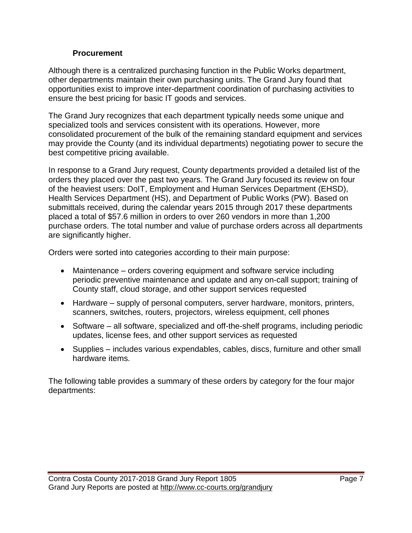#### **Procurement**

Although there is a centralized purchasing function in the Public Works department, other departments maintain their own purchasing units. The Grand Jury found that opportunities exist to improve inter-department coordination of purchasing activities to ensure the best pricing for basic IT goods and services.

The Grand Jury recognizes that each department typically needs some unique and specialized tools and services consistent with its operations. However, more consolidated procurement of the bulk of the remaining standard equipment and services may provide the County (and its individual departments) negotiating power to secure the best competitive pricing available.

In response to a Grand Jury request, County departments provided a detailed list of the orders they placed over the past two years. The Grand Jury focused its review on four of the heaviest users: DoIT, Employment and Human Services Department (EHSD), Health Services Department (HS), and Department of Public Works (PW). Based on submittals received, during the calendar years 2015 through 2017 these departments placed a total of \$57.6 million in orders to over 260 vendors in more than 1,200 purchase orders. The total number and value of purchase orders across all departments are significantly higher.

Orders were sorted into categories according to their main purpose:

- Maintenance orders covering equipment and software service including periodic preventive maintenance and update and any on-call support; training of County staff, cloud storage, and other support services requested
- Hardware supply of personal computers, server hardware, monitors, printers, scanners, switches, routers, projectors, wireless equipment, cell phones
- Software all software, specialized and off-the-shelf programs, including periodic updates, license fees, and other support services as requested
- Supplies includes various expendables, cables, discs, furniture and other small hardware items.

The following table provides a summary of these orders by category for the four major departments: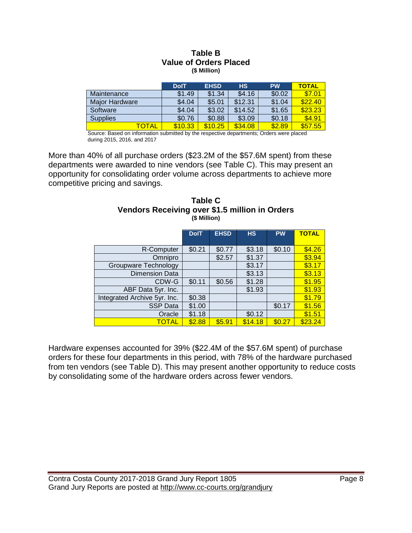#### **Table B Value of Orders Placed (\$ Million)**

|                       | <b>DolT</b> | <b>EHSD</b> | <b>HS</b> | <b>PW</b> | <b>TOTAL</b> |
|-----------------------|-------------|-------------|-----------|-----------|--------------|
| Maintenance           | \$1.49      | \$1.34      | \$4.16    | \$0.02    | \$7.01       |
| <b>Major Hardware</b> | \$4.04      | \$5.01      | \$12.31   | \$1.04    | \$22.40      |
| Software              | \$4.04      | \$3.02      | \$14.52   | \$1.65    | \$23.23      |
| Supplies              | \$0.76      | \$0.88      | \$3.09    | \$0.18    | \$4.91       |
| <b>TOTAL</b>          | \$10.33     | \$10.25     | \$34.08   | \$2.89    | \$57.55      |

 Source: Based on information submitted by the respective departments; Orders were placed during 2015, 2016, and 2017

More than 40% of all purchase orders (\$23.2M of the \$57.6M spent) from these departments were awarded to nine vendors (see Table C). This may present an opportunity for consolidating order volume across departments to achieve more competitive pricing and savings.

| (\$ Million)                 |             |             |           |           |              |  |
|------------------------------|-------------|-------------|-----------|-----------|--------------|--|
|                              | <b>DolT</b> | <b>EHSD</b> | <b>HS</b> | <b>PW</b> | <b>TOTAL</b> |  |
| R-Computer                   | \$0.21      | \$0.77      | \$3.18    | \$0.10    | \$4.26       |  |
| Omnipro                      |             | \$2.57      | \$1.37    |           | \$3.94       |  |
| Groupware Technology         |             |             | \$3.17    |           | \$3.17       |  |
| <b>Dimension Data</b>        |             |             | \$3.13    |           | \$3.13       |  |
| CDW-G                        | \$0.11      | \$0.56      | \$1.28    |           | \$1.95       |  |
| ABF Data 5yr. Inc.           |             |             | \$1.93    |           | \$1.93       |  |
| Integrated Archive 5yr. Inc. | \$0.38      |             |           |           | \$1.79       |  |
| <b>SSP Data</b>              | \$1.00      |             |           | \$0.17    | \$1.56       |  |
| Oracle                       | \$1.18      |             | \$0.12    |           | \$1.51       |  |
| TOTAL                        | \$2.88      | \$5.91      | \$14.18   | \$0.27    | \$23.24      |  |

#### **Table C Vendors Receiving over \$1.5 million in Orders (\$ Million)**

Hardware expenses accounted for 39% (\$22.4M of the \$57.6M spent) of purchase orders for these four departments in this period, with 78% of the hardware purchased from ten vendors (see Table D). This may present another opportunity to reduce costs by consolidating some of the hardware orders across fewer vendors.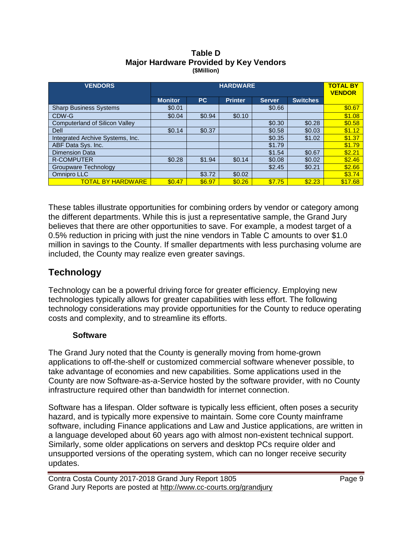| <b>VENDORS</b>                        | <b>HARDWARE</b> |           |                |               |                 | <b>TOTAL BY</b><br><b>VENDOR</b> |
|---------------------------------------|-----------------|-----------|----------------|---------------|-----------------|----------------------------------|
|                                       | <b>Monitor</b>  | <b>PC</b> | <b>Printer</b> | <b>Server</b> | <b>Switches</b> |                                  |
| <b>Sharp Business Systems</b>         | \$0.01          |           |                | \$0.66        |                 | \$0.67                           |
| CDW-G                                 | \$0.04          | \$0.94    | \$0.10         |               |                 | \$1.08                           |
| <b>Computerland of Silicon Valley</b> |                 |           |                | \$0.30        | \$0.28          | \$0.58                           |
| Dell                                  | \$0.14          | \$0.37    |                | \$0.58        | \$0.03          | \$1.12                           |
| Integrated Archive Systems, Inc.      |                 |           |                | \$0.35        | \$1.02          | \$1.37                           |
| ABF Data Sys. Inc.                    |                 |           |                | \$1.79        |                 | \$1.79                           |
| <b>Dimension Data</b>                 |                 |           |                | \$1.54        | \$0.67          | \$2.21                           |
| <b>R-COMPUTER</b>                     | \$0.28          | \$1.94    | \$0.14         | \$0.08        | \$0.02          | \$2.46                           |
| Groupware Technology                  |                 |           |                | \$2.45        | \$0.21          | \$2.66                           |
| Omnipro LLC                           |                 | \$3.72    | \$0.02         |               |                 | \$3.74                           |
| <b>TOTAL BY HARDWARE</b>              | \$0.47          | \$6.97    | \$0.26         | \$7.75        | \$2.23          | \$17.68                          |

#### **Table D Major Hardware Provided by Key Vendors (\$Million)**

These tables illustrate opportunities for combining orders by vendor or category among the different departments. While this is just a representative sample, the Grand Jury believes that there are other opportunities to save. For example, a modest target of a 0.5% reduction in pricing with just the nine vendors in Table C amounts to over \$1.0 million in savings to the County. If smaller departments with less purchasing volume are included, the County may realize even greater savings.

## **Technology**

Technology can be a powerful driving force for greater efficiency. Employing new technologies typically allows for greater capabilities with less effort. The following technology considerations may provide opportunities for the County to reduce operating costs and complexity, and to streamline its efforts.

#### **Software**

The Grand Jury noted that the County is generally moving from home-grown applications to off-the-shelf or customized commercial software whenever possible, to take advantage of economies and new capabilities. Some applications used in the County are now Software-as-a-Service hosted by the software provider, with no County infrastructure required other than bandwidth for internet connection.

Software has a lifespan. Older software is typically less efficient, often poses a security hazard, and is typically more expensive to maintain. Some core County mainframe software, including Finance applications and Law and Justice applications, are written in a language developed about 60 years ago with almost non-existent technical support. Similarly, some older applications on servers and desktop PCs require older and unsupported versions of the operating system, which can no longer receive security updates.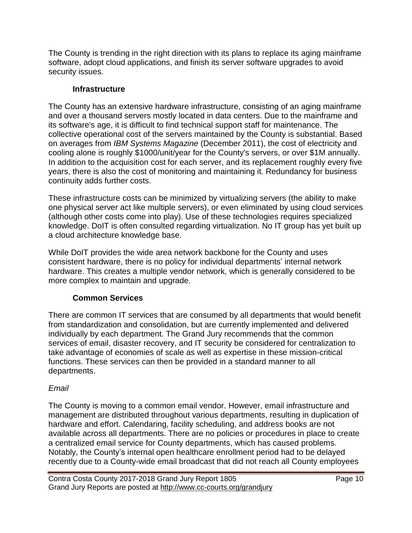The County is trending in the right direction with its plans to replace its aging mainframe software, adopt cloud applications, and finish its server software upgrades to avoid security issues.

#### **Infrastructure**

The County has an extensive hardware infrastructure, consisting of an aging mainframe and over a thousand servers mostly located in data centers. Due to the mainframe and its software's age, it is difficult to find technical support staff for maintenance. The collective operational cost of the servers maintained by the County is substantial. Based on averages from *IBM Systems Magazine* (December 2011), the cost of electricity and cooling alone is roughly \$1000/unit/year for the County's servers, or over \$1M annually. In addition to the acquisition cost for each server, and its replacement roughly every five years, there is also the cost of monitoring and maintaining it. Redundancy for business continuity adds further costs.

These infrastructure costs can be minimized by virtualizing servers (the ability to make one physical server act like multiple servers), or even eliminated by using cloud services (although other costs come into play). Use of these technologies requires specialized knowledge. DoIT is often consulted regarding virtualization. No IT group has yet built up a cloud architecture knowledge base.

While DoIT provides the wide area network backbone for the County and uses consistent hardware, there is no policy for individual departments' internal network hardware. This creates a multiple vendor network, which is generally considered to be more complex to maintain and upgrade.

### **Common Services**

There are common IT services that are consumed by all departments that would benefit from standardization and consolidation, but are currently implemented and delivered individually by each department. The Grand Jury recommends that the common services of email, disaster recovery, and IT security be considered for centralization to take advantage of economies of scale as well as expertise in these mission-critical functions. These services can then be provided in a standard manner to all departments.

### *Email*

The County is moving to a common email vendor. However, email infrastructure and management are distributed throughout various departments, resulting in duplication of hardware and effort. Calendaring, facility scheduling, and address books are not available across all departments. There are no policies or procedures in place to create a centralized email service for County departments, which has caused problems. Notably, the County's internal open healthcare enrollment period had to be delayed recently due to a County-wide email broadcast that did not reach all County employees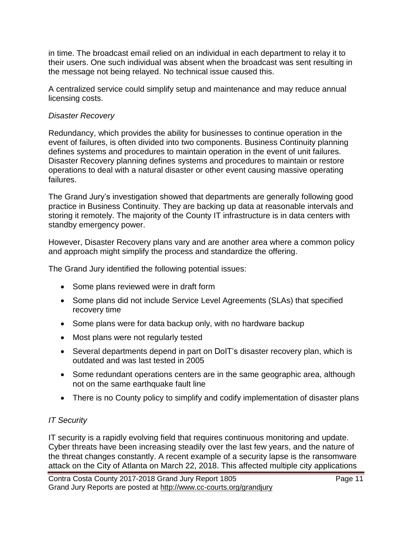in time. The broadcast email relied on an individual in each department to relay it to their users. One such individual was absent when the broadcast was sent resulting in the message not being relayed. No technical issue caused this.

A centralized service could simplify setup and maintenance and may reduce annual licensing costs.

#### *Disaster Recovery*

Redundancy, which provides the ability for businesses to continue operation in the event of failures, is often divided into two components. Business Continuity planning defines systems and procedures to maintain operation in the event of unit failures. Disaster Recovery planning defines systems and procedures to maintain or restore operations to deal with a natural disaster or other event causing massive operating failures.

The Grand Jury's investigation showed that departments are generally following good practice in Business Continuity. They are backing up data at reasonable intervals and storing it remotely. The majority of the County IT infrastructure is in data centers with standby emergency power.

However, Disaster Recovery plans vary and are another area where a common policy and approach might simplify the process and standardize the offering.

The Grand Jury identified the following potential issues:

- Some plans reviewed were in draft form
- Some plans did not include Service Level Agreements (SLAs) that specified recovery time
- Some plans were for data backup only, with no hardware backup
- Most plans were not regularly tested
- Several departments depend in part on DoIT's disaster recovery plan, which is outdated and was last tested in 2005
- Some redundant operations centers are in the same geographic area, although not on the same earthquake fault line
- There is no County policy to simplify and codify implementation of disaster plans

### *IT Security*

IT security is a rapidly evolving field that requires continuous monitoring and update. Cyber threats have been increasing steadily over the last few years, and the nature of the threat changes constantly. A recent example of a security lapse is the ransomware attack on the City of Atlanta on March 22, 2018. This affected multiple city applications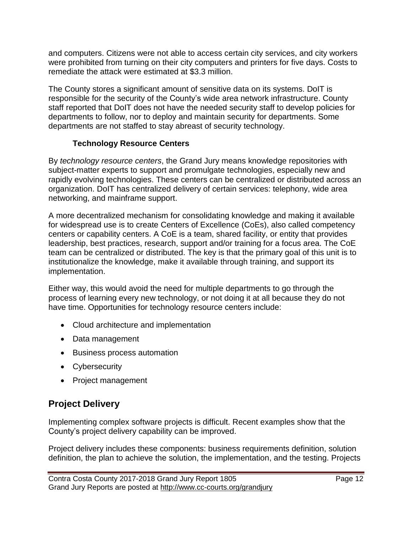and computers. Citizens were not able to access certain city services, and city workers were prohibited from turning on their city computers and printers for five days. Costs to remediate the attack were estimated at \$3.3 million.

The County stores a significant amount of sensitive data on its systems. DoIT is responsible for the security of the County's wide area network infrastructure. County staff reported that DoIT does not have the needed security staff to develop policies for departments to follow, nor to deploy and maintain security for departments. Some departments are not staffed to stay abreast of security technology.

### **Technology Resource Centers**

By *technology resource centers*, the Grand Jury means knowledge repositories with subject-matter experts to support and promulgate technologies, especially new and rapidly evolving technologies. These centers can be centralized or distributed across an organization. DoIT has centralized delivery of certain services: telephony, wide area networking, and mainframe support.

A more decentralized mechanism for consolidating knowledge and making it available for widespread use is to create Centers of Excellence (CoEs), also called competency centers or capability centers. A CoE is a team, shared facility, or entity that provides leadership, best practices, research, support and/or training for a focus area. The CoE team can be centralized or distributed. The key is that the primary goal of this unit is to institutionalize the knowledge, make it available through training, and support its implementation.

Either way, this would avoid the need for multiple departments to go through the process of learning every new technology, or not doing it at all because they do not have time. Opportunities for technology resource centers include:

- Cloud architecture and implementation
- Data management
- Business process automation
- Cybersecurity
- Project management

### **Project Delivery**

Implementing complex software projects is difficult. Recent examples show that the County's project delivery capability can be improved.

Project delivery includes these components: business requirements definition, solution definition, the plan to achieve the solution, the implementation, and the testing. Projects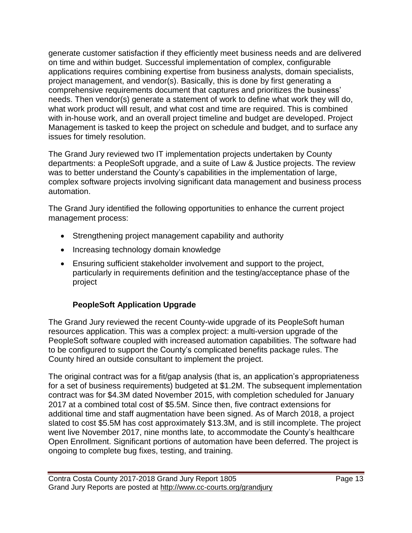generate customer satisfaction if they efficiently meet business needs and are delivered on time and within budget. Successful implementation of complex, configurable applications requires combining expertise from business analysts, domain specialists, project management, and vendor(s). Basically, this is done by first generating a comprehensive requirements document that captures and prioritizes the business' needs. Then vendor(s) generate a statement of work to define what work they will do, what work product will result, and what cost and time are required. This is combined with in-house work, and an overall project timeline and budget are developed. Project Management is tasked to keep the project on schedule and budget, and to surface any issues for timely resolution.

The Grand Jury reviewed two IT implementation projects undertaken by County departments: a PeopleSoft upgrade, and a suite of Law & Justice projects. The review was to better understand the County's capabilities in the implementation of large, complex software projects involving significant data management and business process automation.

The Grand Jury identified the following opportunities to enhance the current project management process:

- Strengthening project management capability and authority
- Increasing technology domain knowledge
- Ensuring sufficient stakeholder involvement and support to the project, particularly in requirements definition and the testing/acceptance phase of the project

### **PeopleSoft Application Upgrade**

The Grand Jury reviewed the recent County-wide upgrade of its PeopleSoft human resources application. This was a complex project: a multi-version upgrade of the PeopleSoft software coupled with increased automation capabilities. The software had to be configured to support the County's complicated benefits package rules. The County hired an outside consultant to implement the project.

The original contract was for a fit/gap analysis (that is, an application's appropriateness for a set of business requirements) budgeted at \$1.2M. The subsequent implementation contract was for \$4.3M dated November 2015, with completion scheduled for January 2017 at a combined total cost of \$5.5M. Since then, five contract extensions for additional time and staff augmentation have been signed. As of March 2018, a project slated to cost \$5.5M has cost approximately \$13.3M, and is still incomplete. The project went live November 2017, nine months late, to accommodate the County's healthcare Open Enrollment. Significant portions of automation have been deferred. The project is ongoing to complete bug fixes, testing, and training.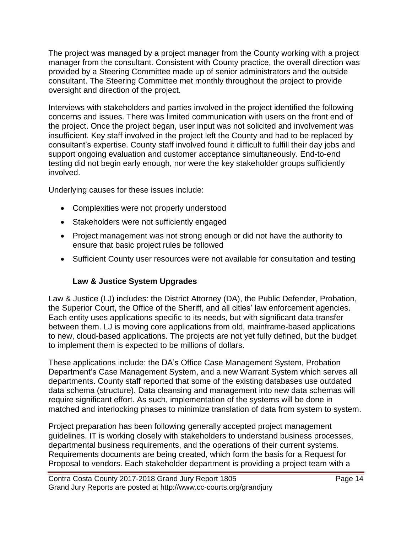The project was managed by a project manager from the County working with a project manager from the consultant. Consistent with County practice, the overall direction was provided by a Steering Committee made up of senior administrators and the outside consultant. The Steering Committee met monthly throughout the project to provide oversight and direction of the project.

Interviews with stakeholders and parties involved in the project identified the following concerns and issues. There was limited communication with users on the front end of the project. Once the project began, user input was not solicited and involvement was insufficient. Key staff involved in the project left the County and had to be replaced by consultant's expertise. County staff involved found it difficult to fulfill their day jobs and support ongoing evaluation and customer acceptance simultaneously. End-to-end testing did not begin early enough, nor were the key stakeholder groups sufficiently involved.

Underlying causes for these issues include:

- Complexities were not properly understood
- Stakeholders were not sufficiently engaged
- Project management was not strong enough or did not have the authority to ensure that basic project rules be followed
- Sufficient County user resources were not available for consultation and testing

### **Law & Justice System Upgrades**

Law & Justice (LJ) includes: the District Attorney (DA), the Public Defender, Probation, the Superior Court, the Office of the Sheriff, and all cities' law enforcement agencies. Each entity uses applications specific to its needs, but with significant data transfer between them. LJ is moving core applications from old, mainframe-based applications to new, cloud-based applications. The projects are not yet fully defined, but the budget to implement them is expected to be millions of dollars.

These applications include: the DA's Office Case Management System, Probation Department's Case Management System, and a new Warrant System which serves all departments. County staff reported that some of the existing databases use outdated data schema (structure). Data cleansing and management into new data schemas will require significant effort. As such, implementation of the systems will be done in matched and interlocking phases to minimize translation of data from system to system.

Project preparation has been following generally accepted project management guidelines. IT is working closely with stakeholders to understand business processes, departmental business requirements, and the operations of their current systems. Requirements documents are being created, which form the basis for a Request for Proposal to vendors. Each stakeholder department is providing a project team with a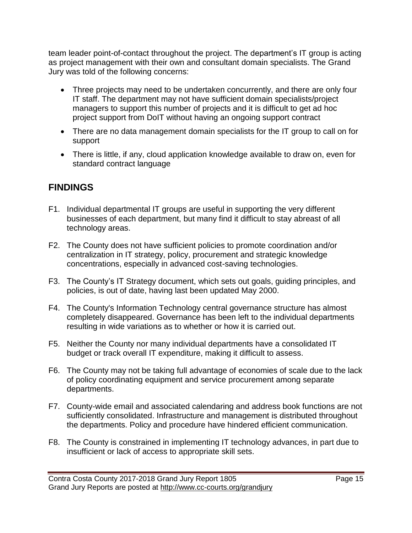team leader point-of-contact throughout the project. The department's IT group is acting as project management with their own and consultant domain specialists. The Grand Jury was told of the following concerns:

- Three projects may need to be undertaken concurrently, and there are only four IT staff. The department may not have sufficient domain specialists/project managers to support this number of projects and it is difficult to get ad hoc project support from DoIT without having an ongoing support contract
- There are no data management domain specialists for the IT group to call on for support
- There is little, if any, cloud application knowledge available to draw on, even for standard contract language

# **FINDINGS**

- F1. Individual departmental IT groups are useful in supporting the very different businesses of each department, but many find it difficult to stay abreast of all technology areas.
- F2. The County does not have sufficient policies to promote coordination and/or centralization in IT strategy, policy, procurement and strategic knowledge concentrations, especially in advanced cost-saving technologies.
- F3. The County's IT Strategy document, which sets out goals, guiding principles, and policies, is out of date, having last been updated May 2000.
- F4. The County's Information Technology central governance structure has almost completely disappeared. Governance has been left to the individual departments resulting in wide variations as to whether or how it is carried out.
- F5. Neither the County nor many individual departments have a consolidated IT budget or track overall IT expenditure, making it difficult to assess.
- F6. The County may not be taking full advantage of economies of scale due to the lack of policy coordinating equipment and service procurement among separate departments.
- F7. County-wide email and associated calendaring and address book functions are not sufficiently consolidated. Infrastructure and management is distributed throughout the departments. Policy and procedure have hindered efficient communication.
- F8. The County is constrained in implementing IT technology advances, in part due to insufficient or lack of access to appropriate skill sets.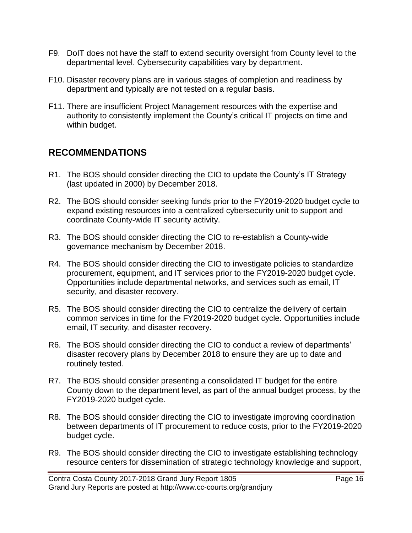- F9. DoIT does not have the staff to extend security oversight from County level to the departmental level. Cybersecurity capabilities vary by department.
- F10. Disaster recovery plans are in various stages of completion and readiness by department and typically are not tested on a regular basis.
- F11. There are insufficient Project Management resources with the expertise and authority to consistently implement the County's critical IT projects on time and within budget.

# **RECOMMENDATIONS**

- R1. The BOS should consider directing the CIO to update the County's IT Strategy (last updated in 2000) by December 2018.
- R2. The BOS should consider seeking funds prior to the FY2019-2020 budget cycle to expand existing resources into a centralized cybersecurity unit to support and coordinate County-wide IT security activity.
- R3. The BOS should consider directing the CIO to re-establish a County-wide governance mechanism by December 2018.
- R4. The BOS should consider directing the CIO to investigate policies to standardize procurement, equipment, and IT services prior to the FY2019-2020 budget cycle. Opportunities include departmental networks, and services such as email, IT security, and disaster recovery.
- R5. The BOS should consider directing the CIO to centralize the delivery of certain common services in time for the FY2019-2020 budget cycle. Opportunities include email, IT security, and disaster recovery.
- R6. The BOS should consider directing the CIO to conduct a review of departments' disaster recovery plans by December 2018 to ensure they are up to date and routinely tested.
- R7. The BOS should consider presenting a consolidated IT budget for the entire County down to the department level, as part of the annual budget process, by the FY2019-2020 budget cycle.
- R8. The BOS should consider directing the CIO to investigate improving coordination between departments of IT procurement to reduce costs, prior to the FY2019-2020 budget cycle.
- R9. The BOS should consider directing the CIO to investigate establishing technology resource centers for dissemination of strategic technology knowledge and support,